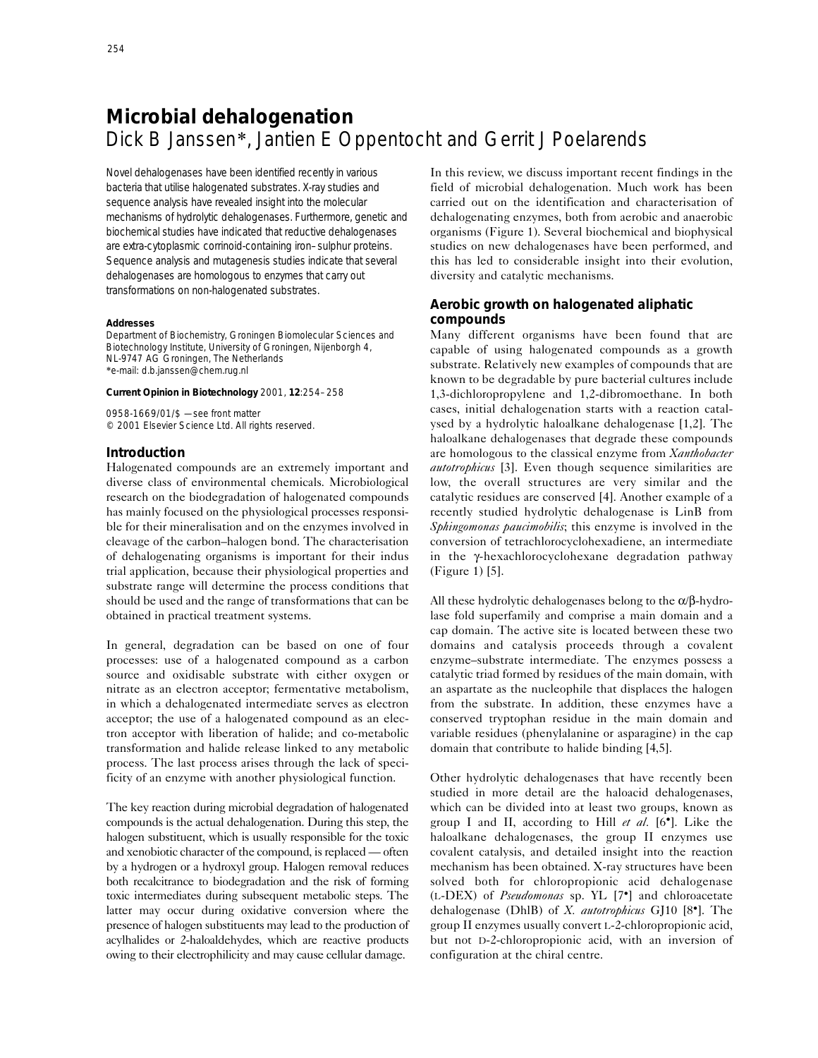# **Microbial dehalogenation** Dick B Janssen\*, Jantien E Oppentocht and Gerrit J Poelarends

Novel dehalogenases have been identified recently in various bacteria that utilise halogenated substrates. X-ray studies and sequence analysis have revealed insight into the molecular mechanisms of hydrolytic dehalogenases. Furthermore, genetic and biochemical studies have indicated that reductive dehalogenases are extra-cytoplasmic corrinoid-containing iron–sulphur proteins. Sequence analysis and mutagenesis studies indicate that several dehalogenases are homologous to enzymes that carry out transformations on non-halogenated substrates.

#### **Addresses**

Department of Biochemistry, Groningen Biomolecular Sciences and Biotechnology Institute, University of Groningen, Nijenborgh 4, NL-9747 AG Groningen, The Netherlands \*e-mail: d.b.janssen@chem.rug.nl

#### **Current Opinion in Biotechnology** 2001, **12**:254–258

0958-1669/01/\$ — see front matter © 2001 Elsevier Science Ltd. All rights reserved.

## **Introduction**

Halogenated compounds are an extremely important and diverse class of environmental chemicals. Microbiological research on the biodegradation of halogenated compounds has mainly focused on the physiological processes responsible for their mineralisation and on the enzymes involved in cleavage of the carbon–halogen bond. The characterisation of dehalogenating organisms is important for their indus trial application, because their physiological properties and substrate range will determine the process conditions that should be used and the range of transformations that can be obtained in practical treatment systems.

In general, degradation can be based on one of four processes: use of a halogenated compound as a carbon source and oxidisable substrate with either oxygen or nitrate as an electron acceptor; fermentative metabolism, in which a dehalogenated intermediate serves as electron acceptor; the use of a halogenated compound as an electron acceptor with liberation of halide; and co-metabolic transformation and halide release linked to any metabolic process. The last process arises through the lack of specificity of an enzyme with another physiological function.

The key reaction during microbial degradation of halogenated compounds is the actual dehalogenation. During this step, the halogen substituent, which is usually responsible for the toxic and xenobiotic character of the compound, is replaced — often by a hydrogen or a hydroxyl group. Halogen removal reduces both recalcitrance to biodegradation and the risk of forming toxic intermediates during subsequent metabolic steps. The latter may occur during oxidative conversion where the presence of halogen substituents may lead to the production of acylhalides or 2-haloaldehydes, which are reactive products owing to their electrophilicity and may cause cellular damage.

In this review, we discuss important recent findings in the field of microbial dehalogenation. Much work has been carried out on the identification and characterisation of dehalogenating enzymes, both from aerobic and anaerobic organisms (Figure 1). Several biochemical and biophysical studies on new dehalogenases have been performed, and this has led to considerable insight into their evolution, diversity and catalytic mechanisms.

# **Aerobic growth on halogenated aliphatic compounds**

Many different organisms have been found that are capable of using halogenated compounds as a growth substrate. Relatively new examples of compounds that are known to be degradable by pure bacterial cultures include 1,3-dichloropropylene and 1,2-dibromoethane. In both cases, initial dehalogenation starts with a reaction catalysed by a hydrolytic haloalkane dehalogenase [1,2]. The haloalkane dehalogenases that degrade these compounds are homologous to the classical enzyme from *Xanthobacter autotrophicus* [3]. Even though sequence similarities are low, the overall structures are very similar and the catalytic residues are conserved [4]. Another example of a recently studied hydrolytic dehalogenase is LinB from *Sphingomonas paucimobilis*; this enzyme is involved in the conversion of tetrachlorocyclohexadiene, an intermediate in the γ-hexachlorocyclohexane degradation pathway (Figure 1) [5].

All these hydrolytic dehalogenases belong to the α/β-hydrolase fold superfamily and comprise a main domain and a cap domain. The active site is located between these two domains and catalysis proceeds through a covalent enzyme–substrate intermediate. The enzymes possess a catalytic triad formed by residues of the main domain, with an aspartate as the nucleophile that displaces the halogen from the substrate. In addition, these enzymes have a conserved tryptophan residue in the main domain and variable residues (phenylalanine or asparagine) in the cap domain that contribute to halide binding [4,5].

Other hydrolytic dehalogenases that have recently been studied in more detail are the haloacid dehalogenases, which can be divided into at least two groups, known as group I and II, according to Hill *et al.* [6•]. Like the haloalkane dehalogenases, the group II enzymes use covalent catalysis, and detailed insight into the reaction mechanism has been obtained. X-ray structures have been solved both for chloropropionic acid dehalogenase (L-DEX) of *Pseudomonas* sp. YL [7•] and chloroacetate dehalogenase (DhlB) of *X. autotrophicus* GJ10 [8•]. The group II enzymes usually convert L-2-chloropropionic acid, but not D-2-chloropropionic acid, with an inversion of configuration at the chiral centre.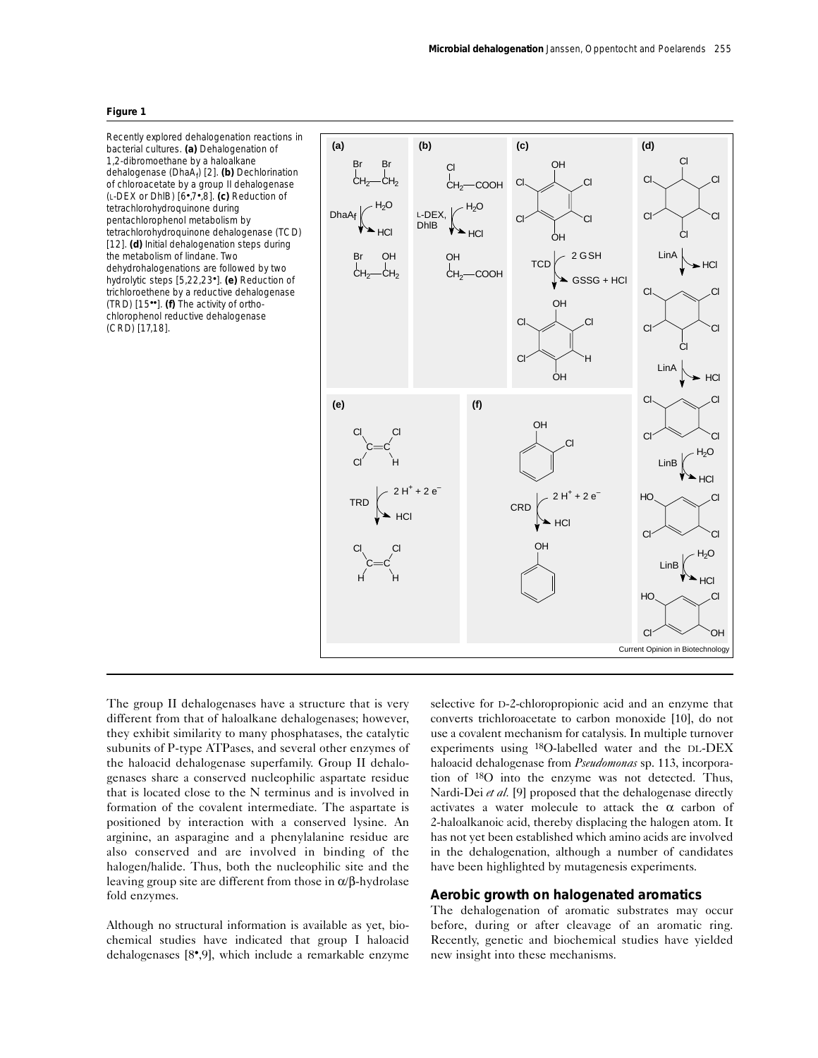#### **Figure 1**

Recently explored dehalogenation reactions in bacterial cultures. **(a)** Dehalogenation of 1,2-dibromoethane by a haloalkane dehalogenase (DhaA<sub>f</sub>) [2]. (b) Dechlorination of chloroacetate by a group II dehalogenase (L-DEX or DhlB) [6•,7•,8]. **(c)** Reduction of tetrachlorohydroquinone during pentachlorophenol metabolism by tetrachlorohydroquinone dehalogenase (TCD) [12]. **(d)** Initial dehalogenation steps during the metabolism of lindane. Two dehydrohalogenations are followed by two hydrolytic steps [5,22,23•]. **(e)** Reduction of trichloroethene by a reductive dehalogenase (TRD) [15••]. **(f)** The activity of *ortho*chlorophenol reductive dehalogenase (CRD) [17,18].



The group II dehalogenases have a structure that is very different from that of haloalkane dehalogenases; however, they exhibit similarity to many phosphatases, the catalytic subunits of P-type ATPases, and several other enzymes of the haloacid dehalogenase superfamily. Group II dehalogenases share a conserved nucleophilic aspartate residue that is located close to the N terminus and is involved in formation of the covalent intermediate. The aspartate is positioned by interaction with a conserved lysine. An arginine, an asparagine and a phenylalanine residue are also conserved and are involved in binding of the halogen/halide. Thus, both the nucleophilic site and the leaving group site are different from those in α/β-hydrolase fold enzymes.

Although no structural information is available as yet, biochemical studies have indicated that group I haloacid dehalogenases [8•,9], which include a remarkable enzyme

selective for D-2-chloropropionic acid and an enzyme that converts trichloroacetate to carbon monoxide [10], do not use a covalent mechanism for catalysis. In multiple turnover experiments using 18O-labelled water and the DL-DEX haloacid dehalogenase from *Pseudomonas* sp. 113, incorporation of 18O into the enzyme was not detected. Thus, Nardi-Dei *et al.* [9] proposed that the dehalogenase directly activates a water molecule to attack the  $\alpha$  carbon of 2-haloalkanoic acid, thereby displacing the halogen atom. It has not yet been established which amino acids are involved in the dehalogenation, although a number of candidates have been highlighted by mutagenesis experiments.

## **Aerobic growth on halogenated aromatics**

The dehalogenation of aromatic substrates may occur before, during or after cleavage of an aromatic ring. Recently, genetic and biochemical studies have yielded new insight into these mechanisms.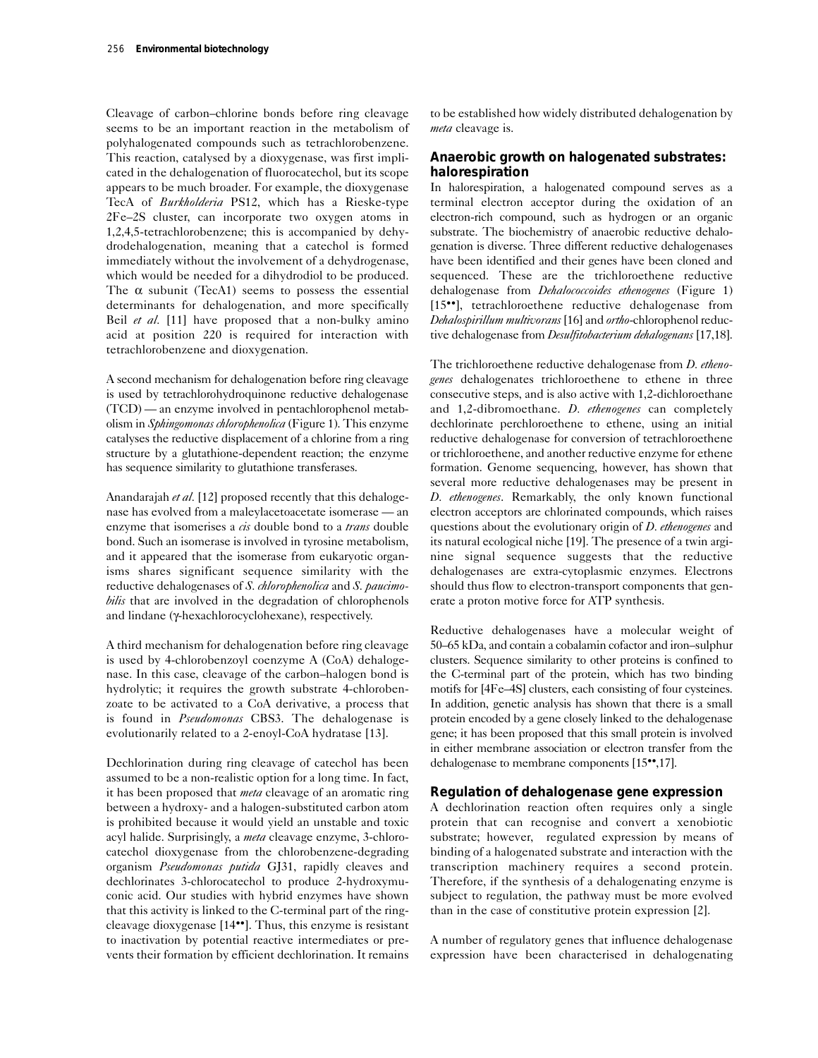Cleavage of carbon–chlorine bonds before ring cleavage seems to be an important reaction in the metabolism of polyhalogenated compounds such as tetrachlorobenzene. This reaction, catalysed by a dioxygenase, was first implicated in the dehalogenation of fluorocatechol, but its scope appears to be much broader. For example, the dioxygenase TecA of *Burkholderia* PS12, which has a Rieske-type 2Fe–2S cluster, can incorporate two oxygen atoms in 1,2,4,5-tetrachlorobenzene; this is accompanied by dehydrodehalogenation, meaning that a catechol is formed immediately without the involvement of a dehydrogenase, which would be needed for a dihydrodiol to be produced. The  $\alpha$  subunit (TecA1) seems to possess the essential determinants for dehalogenation, and more specifically Beil *et al.* [11] have proposed that a non-bulky amino acid at position 220 is required for interaction with tetrachlorobenzene and dioxygenation.

A second mechanism for dehalogenation before ring cleavage is used by tetrachlorohydroquinone reductive dehalogenase (TCD) — an enzyme involved in pentachlorophenol metabolism in *Sphingomonas chlorophenolica* (Figure 1). This enzyme catalyses the reductive displacement of a chlorine from a ring structure by a glutathione-dependent reaction; the enzyme has sequence similarity to glutathione transferases.

Anandarajah *et al.* [12] proposed recently that this dehalogenase has evolved from a maleylacetoacetate isomerase — an enzyme that isomerises a *cis* double bond to a *trans* double bond. Such an isomerase is involved in tyrosine metabolism, and it appeared that the isomerase from eukaryotic organisms shares significant sequence similarity with the reductive dehalogenases of *S. chlorophenolica* and *S. paucimobilis* that are involved in the degradation of chlorophenols and lindane (γ-hexachlorocyclohexane), respectively.

A third mechanism for dehalogenation before ring cleavage is used by 4-chlorobenzoyl coenzyme A (CoA) dehalogenase. In this case, cleavage of the carbon–halogen bond is hydrolytic; it requires the growth substrate 4-chlorobenzoate to be activated to a CoA derivative, a process that is found in *Pseudomonas* CBS3. The dehalogenase is evolutionarily related to a 2-enoyl-CoA hydratase [13].

Dechlorination during ring cleavage of catechol has been assumed to be a non-realistic option for a long time. In fact, it has been proposed that *meta* cleavage of an aromatic ring between a hydroxy- and a halogen-substituted carbon atom is prohibited because it would yield an unstable and toxic acyl halide. Surprisingly, a *meta* cleavage enzyme, 3-chlorocatechol dioxygenase from the chlorobenzene-degrading organism *Pseudomonas putida* GJ31, rapidly cleaves and dechlorinates 3-chlorocatechol to produce 2-hydroxymuconic acid. Our studies with hybrid enzymes have shown that this activity is linked to the C-terminal part of the ringcleavage dioxygenase [14••]. Thus, this enzyme is resistant to inactivation by potential reactive intermediates or prevents their formation by efficient dechlorination. It remains

to be established how widely distributed dehalogenation by *meta* cleavage is.

## **Anaerobic growth on halogenated substrates: halorespiration**

In halorespiration, a halogenated compound serves as a terminal electron acceptor during the oxidation of an electron-rich compound, such as hydrogen or an organic substrate. The biochemistry of anaerobic reductive dehalogenation is diverse. Three different reductive dehalogenases have been identified and their genes have been cloned and sequenced. These are the trichloroethene reductive dehalogenase from *Dehalococcoides ethenogenes* (Figure 1) [15••], tetrachloroethene reductive dehalogenase from *Dehalospirillum multivorans* [16] and *ortho*-chlorophenol reductive dehalogenase from *Desulfitobacterium dehalogenans* [17,18].

The trichloroethene reductive dehalogenase from *D. ethenogenes* dehalogenates trichloroethene to ethene in three consecutive steps, and is also active with 1,2-dichloroethane and 1,2-dibromoethane. *D. ethenogenes* can completely dechlorinate perchloroethene to ethene, using an initial reductive dehalogenase for conversion of tetrachloroethene or trichloroethene, and another reductive enzyme for ethene formation. Genome sequencing, however, has shown that several more reductive dehalogenases may be present in *D. ethenogenes*. Remarkably, the only known functional electron acceptors are chlorinated compounds, which raises questions about the evolutionary origin of *D. ethenogenes* and its natural ecological niche [19]. The presence of a twin arginine signal sequence suggests that the reductive dehalogenases are extra-cytoplasmic enzymes. Electrons should thus flow to electron-transport components that generate a proton motive force for ATP synthesis.

Reductive dehalogenases have a molecular weight of 50–65 kDa, and contain a cobalamin cofactor and iron–sulphur clusters. Sequence similarity to other proteins is confined to the C-terminal part of the protein, which has two binding motifs for [4Fe–4S] clusters, each consisting of four cysteines. In addition, genetic analysis has shown that there is a small protein encoded by a gene closely linked to the dehalogenase gene; it has been proposed that this small protein is involved in either membrane association or electron transfer from the dehalogenase to membrane components [15••,17].

## **Regulation of dehalogenase gene expression**

A dechlorination reaction often requires only a single protein that can recognise and convert a xenobiotic substrate; however, regulated expression by means of binding of a halogenated substrate and interaction with the transcription machinery requires a second protein. Therefore, if the synthesis of a dehalogenating enzyme is subject to regulation, the pathway must be more evolved than in the case of constitutive protein expression [2].

A number of regulatory genes that influence dehalogenase expression have been characterised in dehalogenating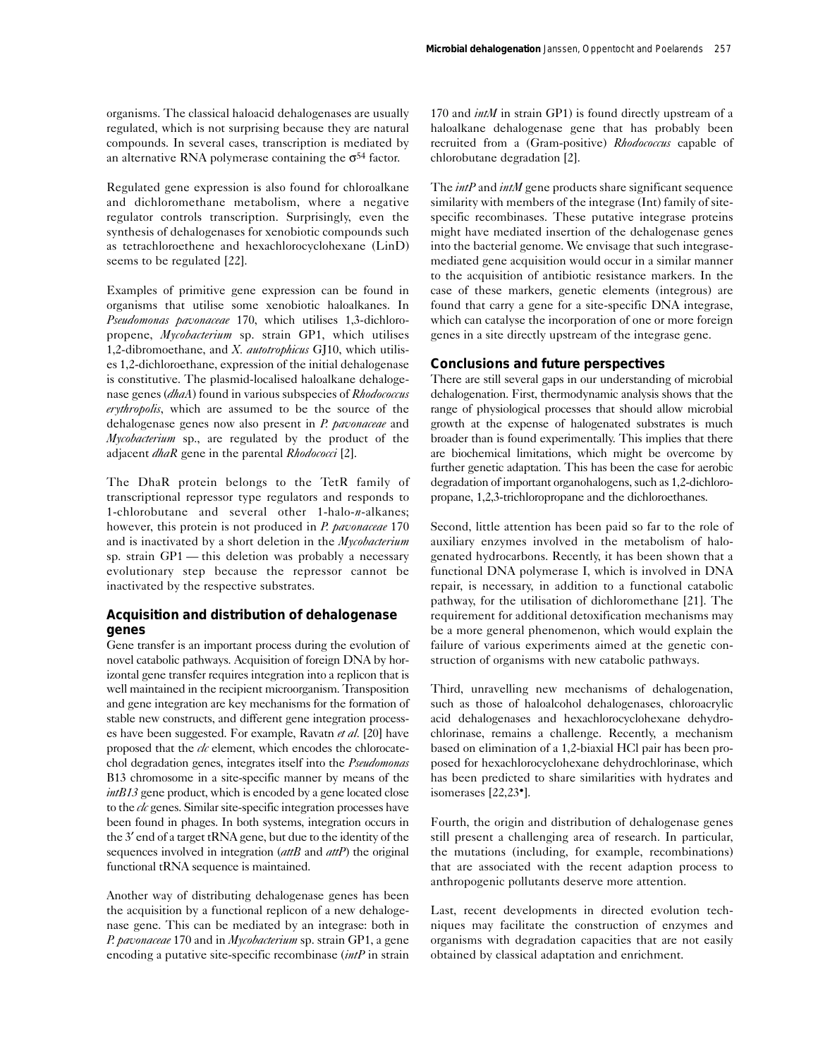organisms. The classical haloacid dehalogenases are usually regulated, which is not surprising because they are natural compounds. In several cases, transcription is mediated by an alternative RNA polymerase containing the  $\sigma^{54}$  factor.

Regulated gene expression is also found for chloroalkane and dichloromethane metabolism, where a negative regulator controls transcription. Surprisingly, even the synthesis of dehalogenases for xenobiotic compounds such as tetrachloroethene and hexachlorocyclohexane (LinD) seems to be regulated [22].

Examples of primitive gene expression can be found in organisms that utilise some xenobiotic haloalkanes. In *Pseudomonas pavonaceae* 170, which utilises 1,3-dichloropropene, *Mycobacterium* sp. strain GP1, which utilises 1,2-dibromoethane, and *X. autotrophicus* GJ10, which utilises 1,2-dichloroethane, expression of the initial dehalogenase is constitutive. The plasmid-localised haloalkane dehalogenase genes (*dhaA*) found in various subspecies of *Rhodococcus erythropolis*, which are assumed to be the source of the dehalogenase genes now also present in *P. pavonaceae* and *Mycobacterium* sp., are regulated by the product of the adjacent *dhaR* gene in the parental *Rhodococci* [2].

The DhaR protein belongs to the TetR family of transcriptional repressor type regulators and responds to 1-chlorobutane and several other 1-halo-*n*-alkanes; however, this protein is not produced in *P. pavonaceae* 170 and is inactivated by a short deletion in the *Mycobacterium* sp. strain GP1 — this deletion was probably a necessary evolutionary step because the repressor cannot be inactivated by the respective substrates.

# **Acquisition and distribution of dehalogenase genes**

Gene transfer is an important process during the evolution of novel catabolic pathways. Acquisition of foreign DNA by horizontal gene transfer requires integration into a replicon that is well maintained in the recipient microorganism. Transposition and gene integration are key mechanisms for the formation of stable new constructs, and different gene integration processes have been suggested. For example, Ravatn *et al.* [20] have proposed that the *clc* element, which encodes the chlorocatechol degradation genes, integrates itself into the *Pseudomonas* B13 chromosome in a site-specific manner by means of the *intB13* gene product, which is encoded by a gene located close to the *clc* genes. Similar site-specific integration processes have been found in phages. In both systems, integration occurs in the 3′ end of a target tRNA gene, but due to the identity of the sequences involved in integration (*attB* and *attP*) the original functional tRNA sequence is maintained.

Another way of distributing dehalogenase genes has been the acquisition by a functional replicon of a new dehalogenase gene. This can be mediated by an integrase: both in *P. pavonaceae* 170 and in *Mycobacterium* sp. strain GP1, a gene encoding a putative site-specific recombinase (*intP* in strain 170 and *intM* in strain GP1) is found directly upstream of a haloalkane dehalogenase gene that has probably been recruited from a (Gram-positive) *Rhodococcus* capable of chlorobutane degradation [2].

The *intP* and *intM* gene products share significant sequence similarity with members of the integrase (Int) family of sitespecific recombinases. These putative integrase proteins might have mediated insertion of the dehalogenase genes into the bacterial genome. We envisage that such integrasemediated gene acquisition would occur in a similar manner to the acquisition of antibiotic resistance markers. In the case of these markers, genetic elements (integrous) are found that carry a gene for a site-specific DNA integrase, which can catalyse the incorporation of one or more foreign genes in a site directly upstream of the integrase gene.

## **Conclusions and future perspectives**

There are still several gaps in our understanding of microbial dehalogenation. First, thermodynamic analysis shows that the range of physiological processes that should allow microbial growth at the expense of halogenated substrates is much broader than is found experimentally. This implies that there are biochemical limitations, which might be overcome by further genetic adaptation. This has been the case for aerobic degradation of important organohalogens, such as 1,2-dichloropropane, 1,2,3-trichloropropane and the dichloroethanes.

Second, little attention has been paid so far to the role of auxiliary enzymes involved in the metabolism of halogenated hydrocarbons. Recently, it has been shown that a functional DNA polymerase I, which is involved in DNA repair, is necessary, in addition to a functional catabolic pathway, for the utilisation of dichloromethane [21]. The requirement for additional detoxification mechanisms may be a more general phenomenon, which would explain the failure of various experiments aimed at the genetic construction of organisms with new catabolic pathways.

Third, unravelling new mechanisms of dehalogenation, such as those of haloalcohol dehalogenases, chloroacrylic acid dehalogenases and hexachlorocyclohexane dehydrochlorinase, remains a challenge. Recently, a mechanism based on elimination of a 1,2-biaxial HCl pair has been proposed for hexachlorocyclohexane dehydrochlorinase, which has been predicted to share similarities with hydrates and isomerases [22,23•].

Fourth, the origin and distribution of dehalogenase genes still present a challenging area of research. In particular, the mutations (including, for example, recombinations) that are associated with the recent adaption process to anthropogenic pollutants deserve more attention.

Last, recent developments in directed evolution techniques may facilitate the construction of enzymes and organisms with degradation capacities that are not easily obtained by classical adaptation and enrichment.